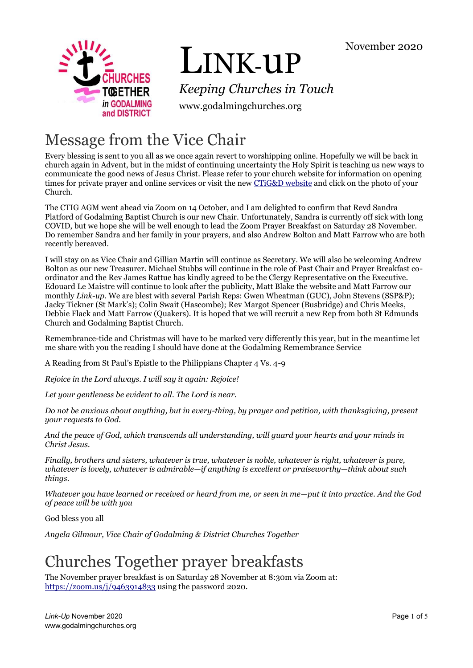

# LINK-uP

*Keeping Churches in Touch*

www.godalmingchurches.org

# Message from the Vice Chair

Every blessing is sent to you all as we once again revert to worshipping online. Hopefully we will be back in church again in Advent, but in the midst of continuing uncertainty the Holy Spirit is teaching us new ways to communicate the good news of Jesus Christ. Please refer to your church website for information on opening times for private prayer and online services or visit the new [CTiG&D website](https://www.godalmingchurches.org/) and click on the photo of your Church.

The CTIG AGM went ahead via Zoom on 14 October, and I am delighted to confirm that Revd Sandra Platford of Godalming Baptist Church is our new Chair. Unfortunately, Sandra is currently off sick with long COVID, but we hope she will be well enough to lead the Zoom Prayer Breakfast on Saturday 28 November. Do remember Sandra and her family in your prayers, and also Andrew Bolton and Matt Farrow who are both recently bereaved.

I will stay on as Vice Chair and Gillian Martin will continue as Secretary. We will also be welcoming Andrew Bolton as our new Treasurer. Michael Stubbs will continue in the role of Past Chair and Prayer Breakfast coordinator and the Rev James Rattue has kindly agreed to be the Clergy Representative on the Executive. Edouard Le Maistre will continue to look after the publicity, Matt Blake the website and Matt Farrow our monthly *Link-up*. We are blest with several Parish Reps: Gwen Wheatman (GUC), John Stevens (SSP&P); Jacky Tickner (St Mark's); Colin Swait (Hascombe); Rev Margot Spencer (Busbridge) and Chris Meeks, Debbie Flack and Matt Farrow (Quakers). It is hoped that we will recruit a new Rep from both St Edmunds Church and Godalming Baptist Church.

Remembrance-tide and Christmas will have to be marked very differently this year, but in the meantime let me share with you the reading I should have done at the Godalming Remembrance Service

A Reading from St Paul's Epistle to the Philippians Chapter 4 Vs. 4-9

*Rejoice in the Lord always. I will say it again: Rejoice!*

*Let your gentleness be evident to all. The Lord is near.* 

*Do not be anxious about anything, but in every-thing, by prayer and petition, with thanksgiving, present your requests to God.* 

*And the peace of God, which transcends all understanding, will guard your hearts and your minds in Christ Jesus.*

*Finally, brothers and sisters, whatever is true, whatever is noble, whatever is right, whatever is pure, whatever is lovely, whatever is admirable—if anything is excellent or praiseworthy—think about such things.* 

*Whatever you have learned or received or heard from me, or seen in me—put it into practice. And the God of peace will be with you*

God bless you all

*Angela Gilmour, Vice Chair of Godalming & District Churches Together*

# Churches Together prayer breakfasts

The November prayer breakfast is on Saturday 28 November at 8:30m via Zoom at: <https://zoom.us/j/9463914833> using the password 2020.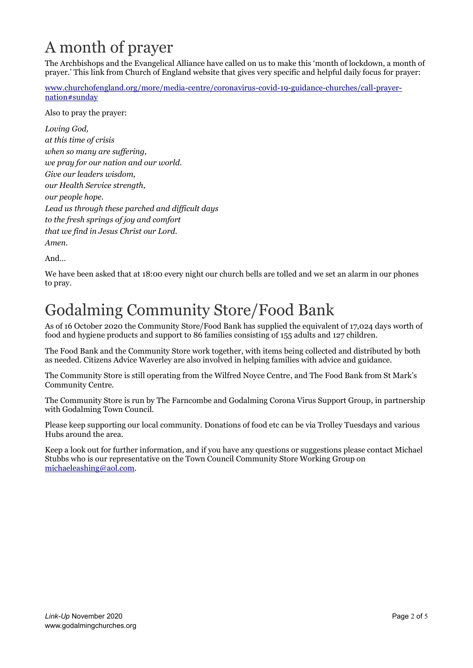# A month of prayer

The Archbishops and the Evangelical Alliance have called on us to make this 'month of lockdown, a month of prayer.' This link from Church of England website that gives very specific and helpful daily focus for prayer:

[www.churchofengland.org/more/media-centre/coronavirus-covid-19-guidance-churches/call-prayer](https://www.churchofengland.org/more/media-centre/coronavirus-covid-19-guidance-churches/call-prayer-nation#sunday)[nation#sunday](https://www.churchofengland.org/more/media-centre/coronavirus-covid-19-guidance-churches/call-prayer-nation#sunday)

Also to pray the prayer:

*Loving God, at this time of crisis when so many are suffering, we pray for our nation and our world. Give our leaders wisdom, our Health Service strength, our people hope. Lead us through these parched and difficult days to the fresh springs of joy and comfort that we find in Jesus Christ our Lord. Amen.*

And…

We have been asked that at 18:00 every night our church bells are tolled and we set an alarm in our phones to pray.

# Godalming Community Store/Food Bank

As of 16 October 2020 the Community Store/Food Bank has supplied the equivalent of 17,024 days worth of food and hygiene products and support to 86 families consisting of 155 adults and 127 children.

The Food Bank and the Community Store work together, with items being collected and distributed by both as needed. Citizens Advice Waverley are also involved in helping families with advice and guidance.

The Community Store is still operating from the Wilfred Noyce Centre, and The Food Bank from St Mark's Community Centre.

The Community Store is run by The Farncombe and Godalming Corona Virus Support Group, in partnership with Godalming Town Council.

Please keep supporting our local community. Donations of food etc can be via Trolley Tuesdays and various Hubs around the area.

Keep a look out for further information, and if you have any questions or suggestions please contact Michael Stubbs who is our representative on the Town Council Community Store Working Group on [michaeleashing@aol.com.](mailto:michaeleashing@aol.com)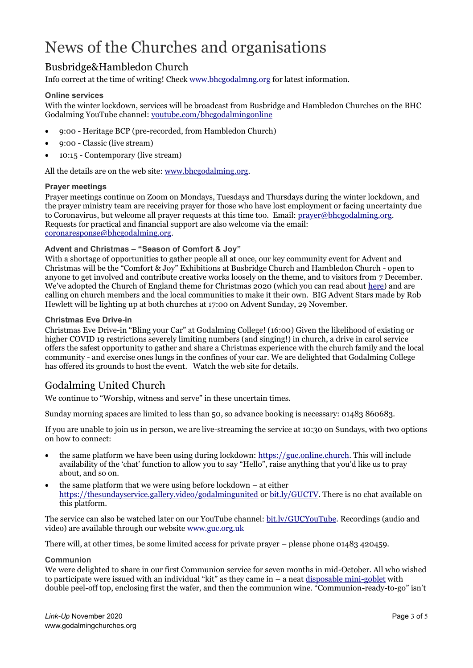# News of the Churches and organisations

# Busbridge&Hambledon Church

Info correct at the time of writing! Chec[k www.bhcgodalmng.org](https://www.bhcgodalmng.org/) for latest information.

#### **Online services**

With the winter lockdown, services will be broadcast from Busbridge and Hambledon Churches on the BHC Godalming YouTube channel[: youtube.com/bhcgodalmingonline](https://www.youtube.com/bhcgodalmingonline)

- 9:00 Heritage BCP (pre-recorded, from Hambledon Church)
- 9:00 Classic (live stream)
- 10:15 Contemporary (live stream)

All the details are on the web site: [www.bhcgodalming.org.](https://www.bhcgodalming.org/)

#### **Prayer meetings**

Prayer meetings continue on Zoom on Mondays, Tuesdays and Thursdays during the winter lockdown, and the prayer ministry team are receiving prayer for those who have lost employment or facing uncertainty due to Coronavirus, but welcome all prayer requests at this time too. Email: [prayer@bhcgodalming.org.](mailto:prayer@bhcgodalming.org)  Requests for practical and financial support are also welcome via the email: [coronaresponse@bhcgodalming.org.](mailto:coronaresponse@bhcgodalming.org)

### **Advent and Christmas – "Season of Comfort & Joy"**

With a shortage of opportunities to gather people all at once, our key community event for Advent and Christmas will be the "Comfort & Joy" Exhibitions at Busbridge Church and Hambledon Church - open to anyone to get involved and contribute creative works loosely on the theme, and to visitors from 7 December. We've adopted the Church of England theme for Christmas 2020 (which you can read about [here\)](https://www.churchtimes.co.uk/articles/2020/9-october/news/uk/consolation-and-hope-in-church-of-england-christmas-campaign) and are calling on church members and the local communities to make it their own. BIG Advent Stars made by Rob Hewlett will be lighting up at both churches at 17:00 on Advent Sunday, 29 November.

#### **Christmas Eve Drive-in**

Christmas Eve Drive-in "Bling your Car" at Godalming College! (16:00) Given the likelihood of existing or higher COVID 19 restrictions severely limiting numbers (and singing!) in church, a drive in carol service offers the safest opportunity to gather and share a Christmas experience with the church family and the local community - and exercise ones lungs in the confines of your car. We are delighted that Godalming College has offered its grounds to host the event. Watch the web site for details.

### Godalming United Church

We continue to "Worship, witness and serve" in these uncertain times.

Sunday morning spaces are limited to less than 50, so advance booking is necessary: 01483 860683.

If you are unable to join us in person, we are live-streaming the service at 10:30 on Sundays, with two options on how to connect:

- the same platform we have been using during lockdown: [https://guc.online.church.](https://guc.online.church/) This will include availability of the 'chat' function to allow you to say "Hello", raise anything that you'd like us to pray about, and so on.
- the same platform that we were using before lockdown at either <https://thesundayservice.gallery.video/godalmingunited> o[r bit.ly/GUCTV.](file:///C:/Users/mfarrow/AppData/Roaming/Microsoft/Word/bit.ly/GUCTV) There is no chat available on this platform.

The service can also be watched later on our YouTube channel: [bit.ly/GUCYouTube.](file:///C:/Users/mfarrow/AppData/Roaming/Microsoft/Word/bit.ly/GUCYouTube) Recordings (audio and video) are available through our website [www.guc.org.uk](http://www.guc.org.uk/)

There will, at other times, be some limited access for private prayer – please phone 01483 420459.

#### **Communion**

We were delighted to share in our first Communion service for seven months in mid-October. All who wished to participate were issued with an individual "kit" as they came in  $-$  a neat [disposable mini-goblet](https://www.amazon.co.uk/gp/product/B005QXG8L6/ref=ppx_yo_dt_b_asin_title_o05_s00?ie=UTF8&psc=1) with double peel-off top, enclosing first the wafer, and then the communion wine. "Communion-ready-to-go" isn't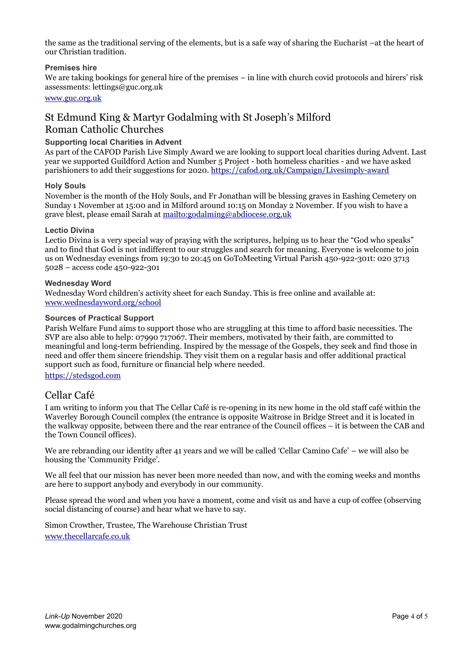the same as the traditional serving of the elements, but is a safe way of sharing the Eucharist –at the heart of our Christian tradition.

#### **Premises hire**

We are taking bookings for general hire of the premises – in line with church covid protocols and hirers' risk assessments: lettings@guc.org.uk

#### [www.guc.org.uk](http://www.guc.org.uk/)

### St Edmund King & Martyr Godalming with St Joseph's Milford Roman Catholic Churches

#### **Supporting local Charities in Advent**

As part of the CAFOD Parish Live Simply Award we are looking to support local charities during Advent. Last year we supported Guildford Action and Number 5 Project - both homeless charities - and we have asked parishioners to add their suggestions for 2020.<https://cafod.org.uk/Campaign/Livesimply-award>

#### **Holy Souls**

November is the month of the Holy Souls, and Fr Jonathan will be blessing graves in Eashing Cemetery on Sunday 1 November at 15:00 and in Milford around 10:15 on Monday 2 November. If you wish to have a grave blest, please email Sarah at <mailto:godalming@abdiocese.org.uk>

#### **Lectio Divina**

Lectio Divina is a very special way of praying with the scriptures, helping us to hear the "God who speaks" and to find that God is not indifferent to our struggles and search for meaning. Everyone is welcome to join us on Wednesday evenings from 19:30 to 20:45 on GoToMeeting Virtual Parish 450-922-301t: 020 3713 5028 – access code 450-922-301

#### **Wednesday Word**

Wednesday Word children's activity sheet for each Sunday. This is free online and available at: [www.wednesdayword.org/school](http://www.wednesdayword.org/school/)

#### **Sources of Practical Support**

Parish Welfare Fund aims to support those who are struggling at this time to afford basic necessities. The SVP are also able to help: 07990 717067. Their members, motivated by their faith, are committed to meaningful and long-term befriending. Inspired by the message of the Gospels, they seek and find those in need and offer them sincere friendship. They visit them on a regular basis and offer additional practical support such as food, furniture or financial help where needed.

#### [https://stedsgod.com](https://stedsgod.com/)

### Cellar Café

I am writing to inform you that The Cellar Café is re-opening in its new home in the old staff café within the Waverley Borough Council complex (the entrance is opposite Waitrose in Bridge Street and it is located in the walkway opposite, between there and the rear entrance of the Council offices – it is between the CAB and the Town Council offices).

We are rebranding our identity after 41 years and we will be called 'Cellar Camino Cafe' – we will also be housing the 'Community Fridge'.

We all feel that our mission has never been more needed than now, and with the coming weeks and months are here to support anybody and everybody in our community.

Please spread the word and when you have a moment, come and visit us and have a cup of coffee (observing social distancing of course) and hear what we have to say.

Simon Crowther, Trustee, The Warehouse Christian Trust [www.thecellarcafe.co.uk](https://www.thecellarcafe.co.uk/)